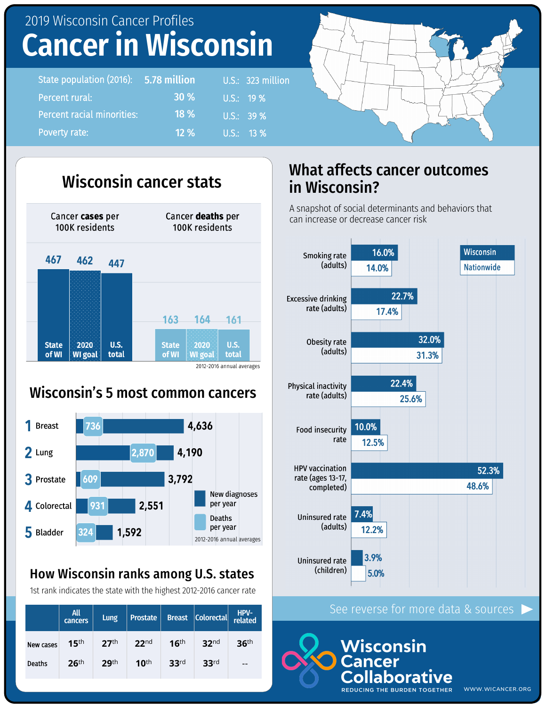## 2019 Wisconsin Cancer Profiles **Cancer in Wisconsin**

| State population (2016): 5.78 million |             | U.S.: 323 million               |
|---------------------------------------|-------------|---------------------------------|
| Percent rural:                        | <b>30 %</b> | $U.S.:$ 19 %                    |
| <b>Percent racial minorities:</b>     | $18\%$      | $\overline{\mathsf{U.S.}}$ 39 % |
| Poverty rate:                         | $12\%$      | $U.S.: 13\%$                    |



### Wisconsin's 5 most common cancers



#### How Wisconsin ranks among U.S. states

1st rank indicates the state with the highest 2012-2016 cancer rate

|           | <b>All</b><br>cancers | Lung             | <b>Prostate</b>  |                  | Breast Colorectal | HPV-<br>related  |
|-----------|-----------------------|------------------|------------------|------------------|-------------------|------------------|
| New cases | 15 <sup>th</sup>      | 27 <sup>th</sup> | 22 <sup>nd</sup> | 16 <sup>th</sup> | 32 <sup>nd</sup>  | 36 <sup>th</sup> |
| Deaths    | 26 <sup>th</sup>      | 29 <sup>th</sup> | 10 <sup>th</sup> | 33 <sup>rd</sup> | 33 <sup>rd</sup>  | --               |

### What affects cancer outcomes in Wisconsin?

A snapshot of social determinants and behaviors that can increase or decrease cancer risk



#### See reverse for more data & sources